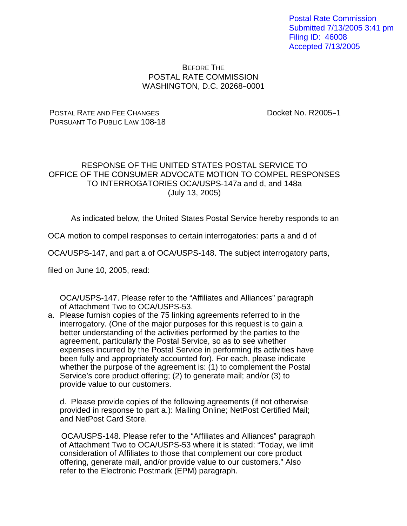Postal Rate Commission Submitted 7/13/2005 3:41 pm Filing ID: 46008 Accepted 7/13/2005

## BEFORE THE POSTAL RATE COMMISSION WASHINGTON, D.C. 20268-0001

## POSTAL RATE AND FEE CHANGES PURSUANT TO PUBLIC LAW 108-18

Docket No. R2005-1

## RESPONSE OF THE UNITED STATES POSTAL SERVICE TO OFFICE OF THE CONSUMER ADVOCATE MOTION TO COMPEL RESPONSES TO INTERROGATORIES OCA/USPS-147a and d, and 148a (July 13, 2005)

As indicated below, the United States Postal Service hereby responds to an

OCA motion to compel responses to certain interrogatories: parts a and d of

OCA/USPS-147, and part a of OCA/USPS-148. The subject interrogatory parts,

filed on June 10, 2005, read:

OCA/USPS-147. Please refer to the "Affiliates and Alliances" paragraph of Attachment Two to OCA/USPS-53.

a. Please furnish copies of the 75 linking agreements referred to in the interrogatory. (One of the major purposes for this request is to gain a better understanding of the activities performed by the parties to the agreement, particularly the Postal Service, so as to see whether expenses incurred by the Postal Service in performing its activities have been fully and appropriately accounted for). For each, please indicate whether the purpose of the agreement is: (1) to complement the Postal Service's core product offering; (2) to generate mail; and/or (3) to provide value to our customers.

d. Please provide copies of the following agreements (if not otherwise provided in response to part a.): Mailing Online; NetPost Certified Mail; and NetPost Card Store.

OCA/USPS-148. Please refer to the "Affiliates and Alliances" paragraph of Attachment Two to OCA/USPS-53 where it is stated: "Today, we limit consideration of Affiliates to those that complement our core product offering, generate mail, and/or provide value to our customers." Also refer to the Electronic Postmark (EPM) paragraph.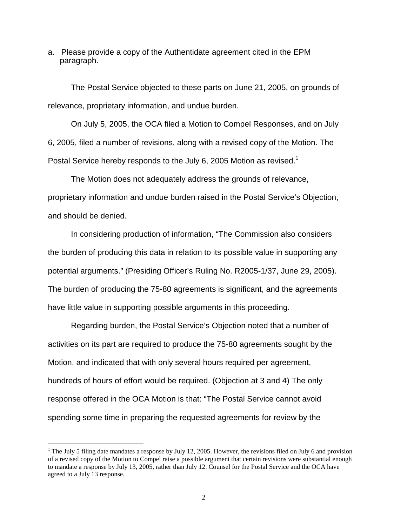a. Please provide a copy of the Authentidate agreement cited in the EPM paragraph.

The Postal Service objected to these parts on June 21, 2005, on grounds of relevance, proprietary information, and undue burden.

On July 5, 2005, the OCA filed a Motion to Compel Responses, and on July 6, 2005, filed a number of revisions, along with a revised copy of the Motion. The Postal Service hereby responds to the July 6, 2005 Motion as revised.<sup>1</sup>

The Motion does not adequately address the grounds of relevance, proprietary information and undue burden raised in the Postal Service's Objection, and should be denied.

 In considering production of information, "The Commission also considers the burden of producing this data in relation to its possible value in supporting any potential arguments." (Presiding Officer's Ruling No. R2005-1/37, June 29, 2005). The burden of producing the 75-80 agreements is significant, and the agreements have little value in supporting possible arguments in this proceeding.

 Regarding burden, the Postal Service's Objection noted that a number of activities on its part are required to produce the 75-80 agreements sought by the Motion, and indicated that with only several hours required per agreement, hundreds of hours of effort would be required. (Objection at 3 and 4) The only response offered in the OCA Motion is that: "The Postal Service cannot avoid spending some time in preparing the requested agreements for review by the

<sup>&</sup>lt;sup>1</sup> The July 5 filing date mandates a response by July 12, 2005. However, the revisions filed on July 6 and provision of a revised copy of the Motion to Compel raise a possible argument that certain revisions were substantial enough to mandate a response by July 13, 2005, rather than July 12. Counsel for the Postal Service and the OCA have agreed to a July 13 response.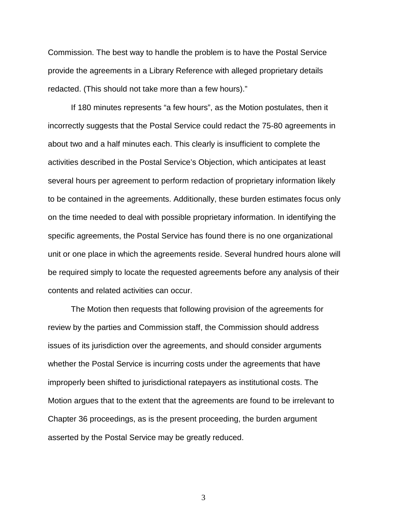Commission. The best way to handle the problem is to have the Postal Service provide the agreements in a Library Reference with alleged proprietary details redacted. (This should not take more than a few hours)."

 If 180 minutes represents "a few hours", as the Motion postulates, then it incorrectly suggests that the Postal Service could redact the 75-80 agreements in about two and a half minutes each. This clearly is insufficient to complete the activities described in the Postal Service's Objection, which anticipates at least several hours per agreement to perform redaction of proprietary information likely to be contained in the agreements. Additionally, these burden estimates focus only on the time needed to deal with possible proprietary information. In identifying the specific agreements, the Postal Service has found there is no one organizational unit or one place in which the agreements reside. Several hundred hours alone will be required simply to locate the requested agreements before any analysis of their contents and related activities can occur.

 The Motion then requests that following provision of the agreements for review by the parties and Commission staff, the Commission should address issues of its jurisdiction over the agreements, and should consider arguments whether the Postal Service is incurring costs under the agreements that have improperly been shifted to jurisdictional ratepayers as institutional costs. The Motion argues that to the extent that the agreements are found to be irrelevant to Chapter 36 proceedings, as is the present proceeding, the burden argument asserted by the Postal Service may be greatly reduced.

3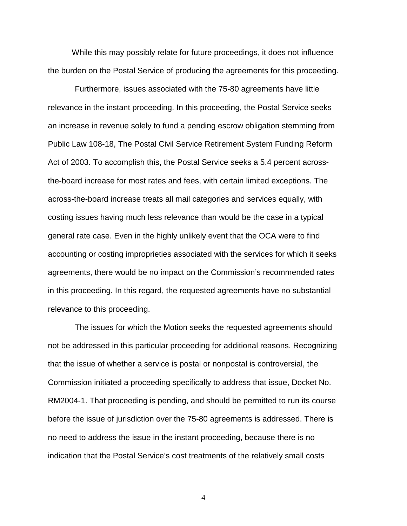While this may possibly relate for future proceedings, it does not influence the burden on the Postal Service of producing the agreements for this proceeding.

Furthermore, issues associated with the 75-80 agreements have little relevance in the instant proceeding. In this proceeding, the Postal Service seeks an increase in revenue solely to fund a pending escrow obligation stemming from Public Law 108-18, The Postal Civil Service Retirement System Funding Reform Act of 2003. To accomplish this, the Postal Service seeks a 5.4 percent acrossthe-board increase for most rates and fees, with certain limited exceptions. The across-the-board increase treats all mail categories and services equally, with costing issues having much less relevance than would be the case in a typical general rate case. Even in the highly unlikely event that the OCA were to find accounting or costing improprieties associated with the services for which it seeks agreements, there would be no impact on the Commission's recommended rates in this proceeding. In this regard, the requested agreements have no substantial relevance to this proceeding.

The issues for which the Motion seeks the requested agreements should not be addressed in this particular proceeding for additional reasons. Recognizing that the issue of whether a service is postal or nonpostal is controversial, the Commission initiated a proceeding specifically to address that issue, Docket No. RM2004-1. That proceeding is pending, and should be permitted to run its course before the issue of jurisdiction over the 75-80 agreements is addressed. There is no need to address the issue in the instant proceeding, because there is no indication that the Postal Service's cost treatments of the relatively small costs

4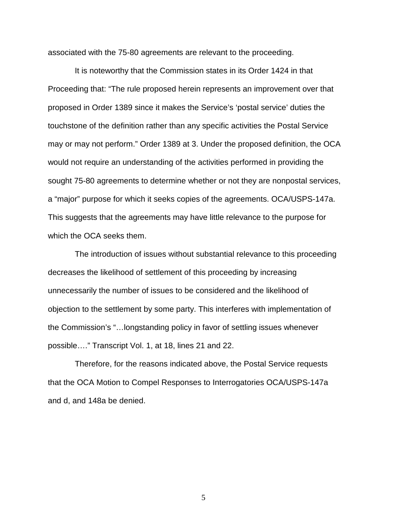associated with the 75-80 agreements are relevant to the proceeding.

It is noteworthy that the Commission states in its Order 1424 in that Proceeding that: "The rule proposed herein represents an improvement over that proposed in Order 1389 since it makes the Service's 'postal service' duties the touchstone of the definition rather than any specific activities the Postal Service may or may not perform." Order 1389 at 3. Under the proposed definition, the OCA would not require an understanding of the activities performed in providing the sought 75-80 agreements to determine whether or not they are nonpostal services, a "major" purpose for which it seeks copies of the agreements. OCA/USPS-147a. This suggests that the agreements may have little relevance to the purpose for which the OCA seeks them.

The introduction of issues without substantial relevance to this proceeding decreases the likelihood of settlement of this proceeding by increasing unnecessarily the number of issues to be considered and the likelihood of objection to the settlement by some party. This interferes with implementation of the Commission's "…longstanding policy in favor of settling issues whenever possible…." Transcript Vol. 1, at 18, lines 21 and 22.

Therefore, for the reasons indicated above, the Postal Service requests that the OCA Motion to Compel Responses to Interrogatories OCA/USPS-147a and d, and 148a be denied.

5